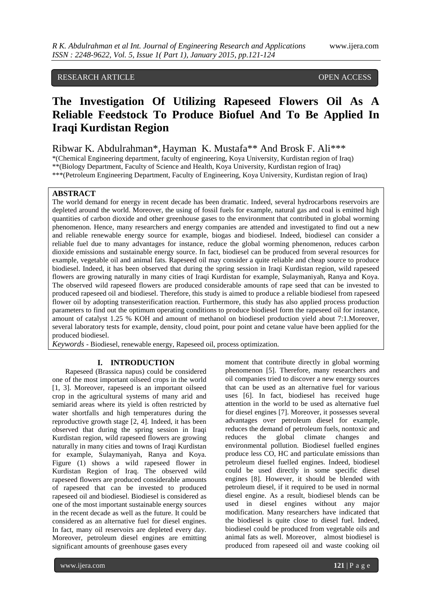# RESEARCH ARTICLE OPEN ACCESS

# **The Investigation Of Utilizing Rapeseed Flowers Oil As A Reliable Feedstock To Produce Biofuel And To Be Applied In Iraqi Kurdistan Region**

Ribwar K. Abdulrahman\*, Hayman K. Mustafa\*\* And Brosk F. Ali\*\*\*

\*(Chemical Engineering department, faculty of engineering, Koya University, Kurdistan region of Iraq) \*\*(Biology Department, Faculty of Science and Health, Koya University, Kurdistan region of Iraq) \*\*\*(Petroleum Engineering Department, Faculty of Engineering, Koya University, Kurdistan region of Iraq)

## **ABSTRACT**

The world demand for energy in recent decade has been dramatic. Indeed, several hydrocarbons reservoirs are depleted around the world. Moreover, the using of fossil fuels for example, natural gas and coal is emitted high quantities of carbon dioxide and other greenhouse gases to the environment that contributed in global worming phenomenon. Hence, many researchers and energy companies are attended and investigated to find out a new and reliable renewable energy source for example, biogas and biodiesel. Indeed, biodiesel can consider a reliable fuel due to many advantages for instance, reduce the global worming phenomenon, reduces carbon dioxide emissions and sustainable energy source. In fact, biodiesel can be produced from several resources for example, vegetable oil and animal fats. Rapeseed oil may consider a quite reliable and cheap source to produce biodiesel. Indeed, it has been observed that during the spring session in Iraqi Kurdistan region, wild rapeseed flowers are growing naturally in many cities of Iraqi Kurdistan for example, Sulaymaniyah, Ranya and Koya. The observed wild rapeseed flowers are produced considerable amounts of rape seed that can be invested to produced rapeseed oil and biodiesel. Therefore, this study is aimed to produce a reliable biodiesel from rapeseed flower oil by adopting transesterification reaction. Furthermore, this study has also applied process production parameters to find out the optimum operating conditions to produce biodiesel form the rapeseed oil for instance, amount of catalyst 1.25 % KOH and amount of methanol on biodiesel production yield about 7:1.Moreover, several laboratory tests for example, density, cloud point, pour point and cetane value have been applied for the produced biodiesel.

*Keywords* - Biodiesel, renewable energy, Rapeseed oil, process optimization.

### **I. INTRODUCTION**

Rapeseed (Brassica napus) could be considered one of the most important oilseed crops in the world [1, 3]. Moreover, rapeseed is an important oilseed crop in the agricultural systems of many arid and semiarid areas where its yield is often restricted by water shortfalls and high temperatures during the reproductive growth stage [2, 4]. Indeed, it has been observed that during the spring session in Iraqi Kurdistan region, wild rapeseed flowers are growing naturally in many cities and towns of Iraqi Kurdistan for example, Sulaymaniyah, Ranya and Koya. Figure (1) shows a wild rapeseed flower in Kurdistan Region of Iraq. The observed wild rapeseed flowers are produced considerable amounts of rapeseed that can be invested to produced rapeseed oil and biodiesel. Biodiesel is considered as one of the most important sustainable energy sources in the recent decade as well as the future. It could be considered as an alternative fuel for diesel engines. In fact, many oil reservoirs are depleted every day. Moreover, petroleum diesel engines are emitting significant amounts of greenhouse gases every

moment that contribute directly in global worming phenomenon [5]. Therefore, many researchers and oil companies tried to discover a new energy sources that can be used as an alternative fuel for various uses [6]. In fact, biodiesel has received huge attention in the world to be used as alternative fuel for diesel engines [7]. Moreover, it possesses several advantages over petroleum diesel for example, reduces the demand of petroleum fuels, nontoxic and reduces the global climate changes and environmental pollution. Biodiesel fuelled engines produce less CO, HC and particulate emissions than petroleum diesel fuelled engines. Indeed, biodiesel could be used directly in some specific diesel engines [8]. However, it should be blended with petroleum diesel, if it required to be used in normal diesel engine. As a result, biodiesel blends can be used in diesel engines without any major modification. Many researchers have indicated that the biodiesel is quite close to diesel fuel. Indeed, biodiesel could be produced from vegetable oils and animal fats as well. Moreover, almost biodiesel is produced from rapeseed oil and waste cooking oil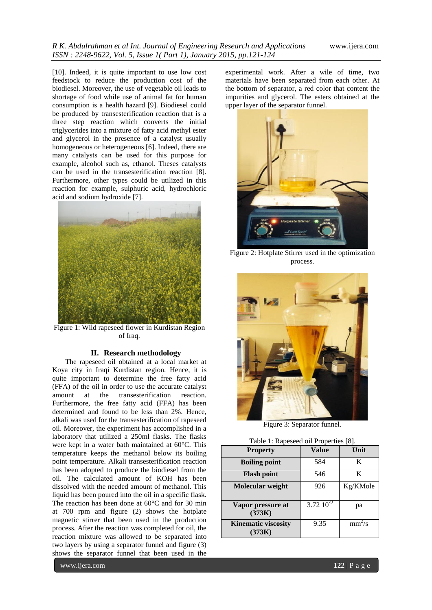[10]. Indeed, it is quite important to use low cost feedstock to reduce the production cost of the biodiesel. Moreover, the use of vegetable oil leads to shortage of food while use of animal fat for human consumption is a health hazard [9]. Biodiesel could be produced by transesterification reaction that is a three step reaction which converts the initial triglycerides into a mixture of fatty acid methyl ester and glycerol in the presence of a catalyst usually homogeneous or heterogeneous [6]. Indeed, there are many catalysts can be used for this purpose for example, alcohol such as, ethanol. Theses catalysts can be used in the transesterification reaction [8]. Furthermore, other types could be utilized in this reaction for example, sulphuric acid, hydrochloric acid and sodium hydroxide [7].



Figure 1: Wild rapeseed flower in Kurdistan Region of Iraq.

### **II. Research methodology**

The rapeseed oil obtained at a local market at Koya city in Iraqi Kurdistan region. Hence, it is quite important to determine the free fatty acid (FFA) of the oil in order to use the accurate catalyst amount at the transesterification reaction. Furthermore, the free fatty acid (FFA) has been determined and found to be less than 2%. Hence, alkali was used for the transesterification of rapeseed oil. Moreover, the experiment has accomplished in a laboratory that utilized a 250ml flasks. The flasks were kept in a water bath maintained at 60°C. This temperature keeps the methanol below its boiling point temperature. Alkali transesterification reaction has been adopted to produce the biodiesel from the oil. The calculated amount of KOH has been dissolved with the needed amount of methanol. This liquid has been poured into the oil in a specific flask. The reaction has been done at 60°C and for 30 min at 700 rpm and figure (2) shows the hotplate magnetic stirrer that been used in the production process. After the reaction was completed for oil, the reaction mixture was allowed to be separated into two layers by using a separator funnel and figure (3) shows the separator funnel that been used in the

experimental work. After a wile of time, two materials have been separated from each other. At the bottom of separator, a red color that content the impurities and glycerol. The esters obtained at the upper layer of the separator funnel.



Figure 2: Hotplate Stirrer used in the optimization process.



Figure 3: Separator funnel.

|  | Table 1: Rapeseed oil Properties [8]. |  |  |  |
|--|---------------------------------------|--|--|--|
|--|---------------------------------------|--|--|--|

| <b>Property</b>                      | Value          | Unit     |
|--------------------------------------|----------------|----------|
| <b>Boiling point</b>                 | 584            | K        |
| <b>Flash point</b>                   | 546            | K        |
| Molecular weight                     | 926            | Kg/KMole |
| Vapor pressure at<br>(373K)          | $3.72~10^{-9}$ | рa       |
| <b>Kinematic viscosity</b><br>(373K) | 9.35           | $mm^2/s$ |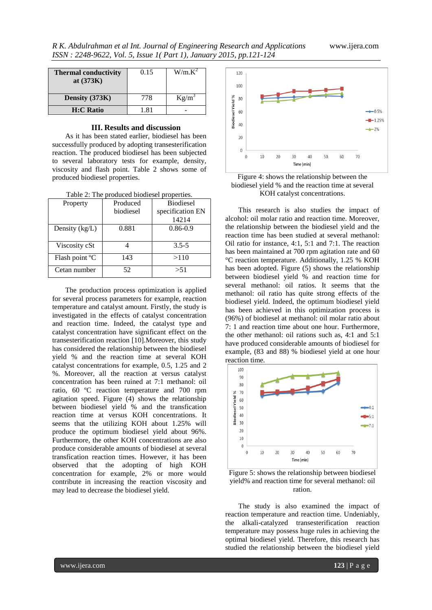| <b>Thermal conductivity</b><br>at $(373K)$ | 0.15 | $W/m.K^2$ |
|--------------------------------------------|------|-----------|
| Density (373K)                             | 778  | $Kg/m^3$  |
| <b>H:C Ratio</b>                           | 1.81 |           |

#### **III. Results and discussion**

As it has been stated earlier, biodiesel has been successfully produced by adopting transesterification reaction. The produced biodiesel has been subjected to several laboratory tests for example, density, viscosity and flash point. Table 2 shows some of produced biodiesel properties.

| Table 2: The produced biodiesel properties. |  |  |  |  |
|---------------------------------------------|--|--|--|--|
|---------------------------------------------|--|--|--|--|

| Property         | Produced  | <b>Biodiesel</b> |
|------------------|-----------|------------------|
|                  | biodiesel | specification EN |
|                  |           | 14214            |
| Density $(kg/L)$ | 0.881     | $0.86 - 0.9$     |
|                  |           |                  |
| Viscosity cSt    |           | $3.5 - 5$        |
| Flash point °C   | 143       | >110             |
| Cetan number     | 52        | > 51             |

The production process optimization is applied for several process parameters for example, reaction temperature and catalyst amount. Firstly, the study is investigated in the effects of catalyst concentration and reaction time. Indeed, the catalyst type and catalyst concentration have significant effect on the transesterification reaction [10].Moreover, this study has considered the relationship between the biodiesel yield % and the reaction time at several KOH catalyst concentrations for example, 0.5, 1.25 and 2 %. Moreover, all the reaction at versus catalyst concentration has been ruined at 7:1 methanol: oil ratio, 60 ºC reaction temperature and 700 rpm agitation speed. Figure (4) shows the relationship between biodiesel yield % and the transfication reaction time at versus KOH concentrations. It seems that the utilizing KOH about 1.25% will produce the optimum biodiesel yield about 96%. Furthermore, the other KOH concentrations are also produce considerable amounts of biodiesel at several transfication reaction times. However, it has been observed that the adopting of high KOH concentration for example, 2% or more would contribute in increasing the reaction viscosity and may lead to decrease the biodiesel yield.



Figure 4: shows the relationship between the biodiesel yield % and the reaction time at several KOH catalyst concentrations.

This research is also studies the impact of alcohol: oil molar ratio and reaction time. Moreover, the relationship between the biodiesel yield and the reaction time has been studied at several methanol: Oil ratio for instance, 4:1, 5:1 and 7:1. The reaction has been maintained at 700 rpm agitation rate and 60 °C reaction temperature. Additionally, 1.25 % KOH has been adopted. Figure (5) shows the relationship between biodiesel yield % and reaction time for several methanol: oil ratios. It seems that the methanol: oil ratio has quite strong effects of the biodiesel yield. Indeed, the optimum biodiesel yield has been achieved in this optimization process is (96%) of biodiesel at methanol: oil molar ratio about 7: 1 and reaction time about one hour. Furthermore, the other methanol: oil rations such as, 4:1 and 5:1 have produced considerable amounts of biodiesel for example, (83 and 88) % biodiesel yield at one hour reaction time.



Figure 5: shows the relationship between biodiesel yield% and reaction time for several methanol: oil ration.

The study is also examined the impact of reaction temperature and reaction time. Undeniably, the alkali-catalyzed transesterification reaction temperature may possess huge rules in achieving the optimal biodiesel yield. Therefore, this research has studied the relationship between the biodiesel yield